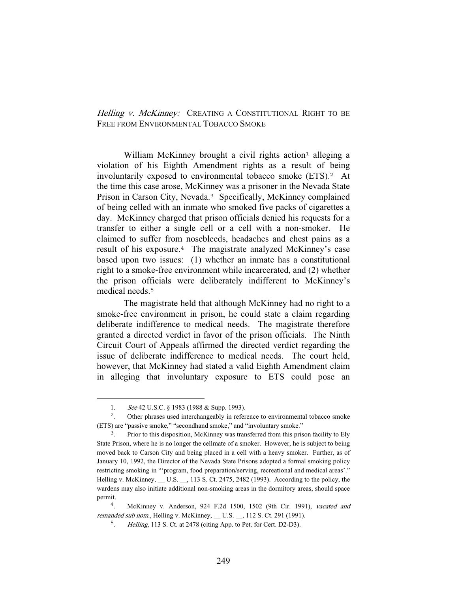## Helling v. McKinney: CREATING A CONSTITUTIONAL RIGHT TO BE FREE FROM ENVIRONMENTAL TOBACCO SMOKE

William McKinney brought a civil rights action<sup>1</sup> alleging a violation of his Eighth Amendment rights as a result of being involuntarily exposed to environmental tobacco smoke (ETS).<sup>2</sup> At the time this case arose, McKinney was a prisoner in the Nevada State Prison in Carson City, Nevada.<sup>3</sup> Specifically, McKinney complained of being celled with an inmate who smoked five packs of cigarettes a day. McKinney charged that prison officials denied his requests for a transfer to either a single cell or a cell with a non-smoker. He claimed to suffer from nosebleeds, headaches and chest pains as a result of his exposure.<sup>4</sup> The magistrate analyzed McKinney's case based upon two issues: (1) whether an inmate has a constitutional right to a smoke-free environment while incarcerated, and (2) whether the prison officials were deliberately indifferent to McKinney's medical needs.<sup>5</sup>

 The magistrate held that although McKinney had no right to a smoke-free environment in prison, he could state a claim regarding deliberate indifference to medical needs. The magistrate therefore granted a directed verdict in favor of the prison officials. The Ninth Circuit Court of Appeals affirmed the directed verdict regarding the issue of deliberate indifference to medical needs. The court held, however, that McKinney had stated a valid Eighth Amendment claim in alleging that involuntary exposure to ETS could pose an

<sup>1.</sup> See 42 U.S.C. § 1983 (1988 & Supp. 1993).

<sup>&</sup>lt;sup>2</sup>. Other phrases used interchangeably in reference to environmental tobacco smoke (ETS) are "passive smoke," "secondhand smoke," and "involuntary smoke."

<sup>&</sup>lt;sup>3</sup>. Prior to this disposition, McKinney was transferred from this prison facility to Ely State Prison, where he is no longer the cellmate of a smoker. However, he is subject to being moved back to Carson City and being placed in a cell with a heavy smoker. Further, as of January 10, 1992, the Director of the Nevada State Prisons adopted a formal smoking policy restricting smoking in "'program, food preparation/serving, recreational and medical areas'." Helling v. McKinney, \_\_ U.S. \_\_, 113 S. Ct. 2475, 2482 (1993). According to the policy, the wardens may also initiate additional non-smoking areas in the dormitory areas, should space permit.

<sup>4</sup>. McKinney v. Anderson, 924 F.2d 1500, 1502 (9th Cir. 1991), vacated and remanded sub nom., Helling v. McKinney, \_\_ U.S. \_\_, 112 S. Ct. 291 (1991).

<sup>5</sup>. Helling, 113 S. Ct. at 2478 (citing App. to Pet. for Cert. D2-D3).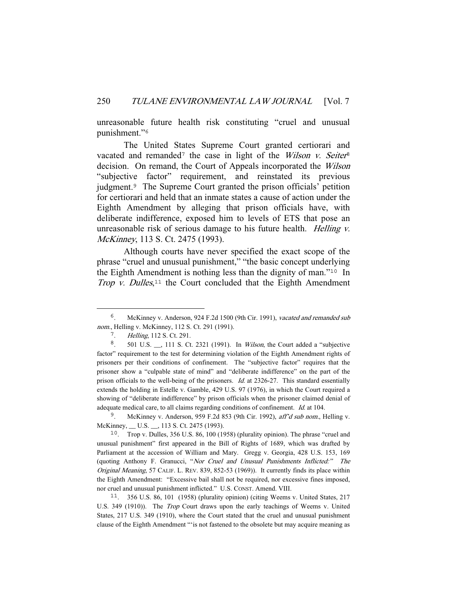unreasonable future health risk constituting "cruel and unusual punishment."<sup>6</sup>

 The United States Supreme Court granted certiorari and vacated and remanded<sup>7</sup> the case in light of the *Wilson v. Seiter*<sup>8</sup> decision. On remand, the Court of Appeals incorporated the Wilson "subjective factor" requirement, and reinstated its previous judgment.<sup>9</sup> The Supreme Court granted the prison officials' petition for certiorari and held that an inmate states a cause of action under the Eighth Amendment by alleging that prison officials have, with deliberate indifference, exposed him to levels of ETS that pose an unreasonable risk of serious damage to his future health. *Helling v.* McKinney, 113 S. Ct. 2475 (1993).

 Although courts have never specified the exact scope of the phrase "cruel and unusual punishment," "the basic concept underlying the Eighth Amendment is nothing less than the dignity of man."<sup>10</sup> In Trop v. Dulles, $11$  the Court concluded that the Eighth Amendment

<sup>9</sup>. McKinney v. Anderson, 959 F.2d 853 (9th Cir. 1992), aff'd sub nom., Helling v. McKinney, \_\_ U.S. \_\_, 113 S. Ct. 2475 (1993).

<sup>10</sup>. Trop v. Dulles, 356 U.S. 86, 100 (1958) (plurality opinion). The phrase "cruel and unusual punishment" first appeared in the Bill of Rights of 1689, which was drafted by Parliament at the accession of William and Mary. Gregg v. Georgia, 428 U.S. 153, 169 (quoting Anthony F. Granucci, "Nor Cruel and Unusual Punishments Inflicted:" The Original Meaning, 57 CALIF. L. REV. 839, 852-53 (1969)). It currently finds its place within the Eighth Amendment: "Excessive bail shall not be required, nor excessive fines imposed, nor cruel and unusual punishment inflicted." U.S. CONST. Amend. VIII.

<sup>11</sup>. 356 U.S. 86, 101 (1958) (plurality opinion) (citing Weems v. United States, 217 U.S. 349 (1910)). The Trop Court draws upon the early teachings of Weems v. United States, 217 U.S. 349 (1910), where the Court stated that the cruel and unusual punishment clause of the Eighth Amendment "'is not fastened to the obsolete but may acquire meaning as

<sup>&</sup>lt;sup>6</sup>. McKinney v. Anderson, 924 F.2d 1500 (9th Cir. 1991), vacated and remanded sub nom., Helling v. McKinney, 112 S. Ct. 291 (1991).

<sup>7</sup>. Helling, 112 S. Ct. 291.

<sup>8</sup>. 501 U.S. \_\_, 111 S. Ct. 2321 (1991). In Wilson, the Court added a "subjective factor" requirement to the test for determining violation of the Eighth Amendment rights of prisoners per their conditions of confinement. The "subjective factor" requires that the prisoner show a "culpable state of mind" and "deliberate indifference" on the part of the prison officials to the well-being of the prisoners. Id. at 2326-27. This standard essentially extends the holding in Estelle v. Gamble, 429 U.S. 97 (1976), in which the Court required a showing of "deliberate indifference" by prison officials when the prisoner claimed denial of adequate medical care, to all claims regarding conditions of confinement. Id. at 104.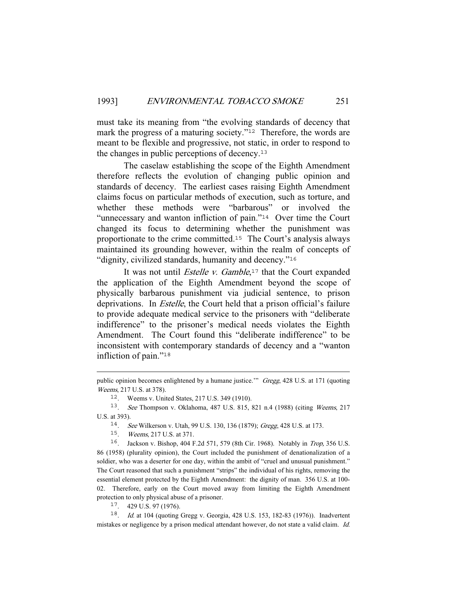must take its meaning from "the evolving standards of decency that mark the progress of a maturing society."<sup>12</sup> Therefore, the words are meant to be flexible and progressive, not static, in order to respond to the changes in public perceptions of decency.<sup>13</sup>

 The caselaw establishing the scope of the Eighth Amendment therefore reflects the evolution of changing public opinion and standards of decency. The earliest cases raising Eighth Amendment claims focus on particular methods of execution, such as torture, and whether these methods were "barbarous" or involved the "unnecessary and wanton infliction of pain."<sup>14</sup> Over time the Court changed its focus to determining whether the punishment was proportionate to the crime committed.<sup>15</sup> The Court's analysis always maintained its grounding however, within the realm of concepts of "dignity, civilized standards, humanity and decency."<sup>16</sup>

It was not until *Estelle v. Gamble*,<sup>17</sup> that the Court expanded the application of the Eighth Amendment beyond the scope of physically barbarous punishment via judicial sentence, to prison deprivations. In Estelle, the Court held that a prison official's failure to provide adequate medical service to the prisoners with "deliberate indifference" to the prisoner's medical needs violates the Eighth Amendment. The Court found this "deliberate indifference" to be inconsistent with contemporary standards of decency and a "wanton infliction of pain."<sup>18</sup>

<sup>17</sup>. 429 U.S. 97 (1976).

<sup>18</sup>. Id. at 104 (quoting Gregg v. Georgia, 428 U.S. 153, 182-83 (1976)). Inadvertent mistakes or negligence by a prison medical attendant however, do not state a valid claim. *Id.* 

public opinion becomes enlightened by a humane justice." Gregg, 428 U.S. at 171 (quoting Weems, 217 U.S. at 378).

<sup>12</sup>. Weems v. United States, 217 U.S. 349 (1910).

<sup>13</sup>. See Thompson v. Oklahoma, 487 U.S. 815, 821 n.4 (1988) (citing Weems, 217 U.S. at 393).

<sup>14</sup>. See Wilkerson v. Utah, 99 U.S. 130, 136 (1879); Gregg, 428 U.S. at 173.

<sup>15</sup>. Weems, 217 U.S. at 371.

<sup>16</sup>. Jackson v. Bishop, 404 F.2d 571, 579 (8th Cir. 1968). Notably in Trop, 356 U.S. 86 (1958) (plurality opinion), the Court included the punishment of denationalization of a soldier, who was a deserter for one day, within the ambit of "cruel and unusual punishment." The Court reasoned that such a punishment "strips" the individual of his rights, removing the essential element protected by the Eighth Amendment: the dignity of man. 356 U.S. at 100- 02. Therefore, early on the Court moved away from limiting the Eighth Amendment protection to only physical abuse of a prisoner.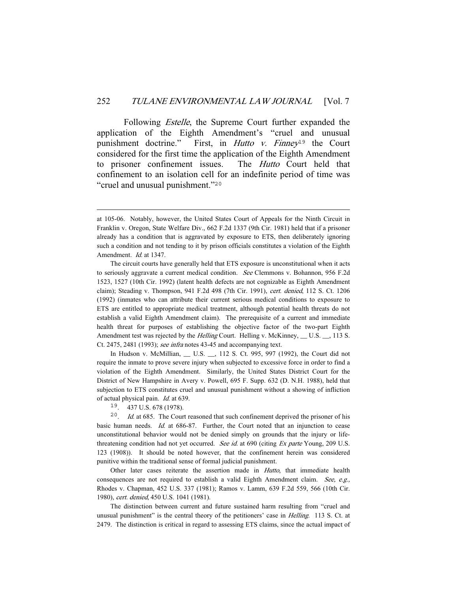Following *Estelle*, the Supreme Court further expanded the application of the Eighth Amendment's "cruel and unusual punishment doctrine." First, in Hutto v. Finney<sup>19</sup> the Court considered for the first time the application of the Eighth Amendment to prisoner confinement issues. The Hutto Court held that confinement to an isolation cell for an indefinite period of time was "cruel and unusual punishment."<sup>20</sup>

 In Hudson v. McMillian, \_\_ U.S. \_\_, 112 S. Ct. 995, 997 (1992), the Court did not require the inmate to prove severe injury when subjected to excessive force in order to find a violation of the Eighth Amendment. Similarly, the United States District Court for the District of New Hampshire in Avery v. Powell, 695 F. Supp. 632 (D. N.H. 1988), held that subjection to ETS constitutes cruel and unusual punishment without a showing of infliction of actual physical pain. Id. at 639.

 $20$ . *Id.* at 685. The Court reasoned that such confinement deprived the prisoner of his basic human needs. Id. at 686-87. Further, the Court noted that an injunction to cease unconstitutional behavior would not be denied simply on grounds that the injury or lifethreatening condition had not yet occurred. See id. at 690 (citing Ex parte Young, 209 U.S. 123 (1908)). It should be noted however, that the confinement herein was considered punitive within the traditional sense of formal judicial punishment.

 Other later cases reiterate the assertion made in Hutto, that immediate health consequences are not required to establish a valid Eighth Amendment claim. See, e.g., Rhodes v. Chapman, 452 U.S. 337 (1981); Ramos v. Lamm, 639 F.2d 559, 566 (10th Cir. 1980), cert. denied, 450 U.S. 1041 (1981).

 The distinction between current and future sustained harm resulting from "cruel and unusual punishment" is the central theory of the petitioners' case in *Helling*. 113 S. Ct. at 2479. The distinction is critical in regard to assessing ETS claims, since the actual impact of

at 105-06. Notably, however, the United States Court of Appeals for the Ninth Circuit in Franklin v. Oregon, State Welfare Div., 662 F.2d 1337 (9th Cir. 1981) held that if a prisoner already has a condition that is aggravated by exposure to ETS, then deliberately ignoring such a condition and not tending to it by prison officials constitutes a violation of the Eighth Amendment. *Id.* at 1347.

The circuit courts have generally held that ETS exposure is unconstitutional when it acts to seriously aggravate a current medical condition. See Clemmons v. Bohannon, 956 F.2d 1523, 1527 (10th Cir. 1992) (latent health defects are not cognizable as Eighth Amendment claim); Steading v. Thompson, 941 F.2d 498 (7th Cir. 1991), cert. denied, 112 S. Ct. 1206 (1992) (inmates who can attribute their current serious medical conditions to exposure to ETS are entitled to appropriate medical treatment, although potential health threats do not establish a valid Eighth Amendment claim). The prerequisite of a current and immediate health threat for purposes of establishing the objective factor of the two-part Eighth Amendment test was rejected by the *Helling* Court. Helling v. McKinney, \_\_ U.S. \_\_, 113 S. Ct. 2475, 2481 (1993); see infra notes 43-45 and accompanying text.

<sup>19</sup>. 437 U.S. 678 (1978).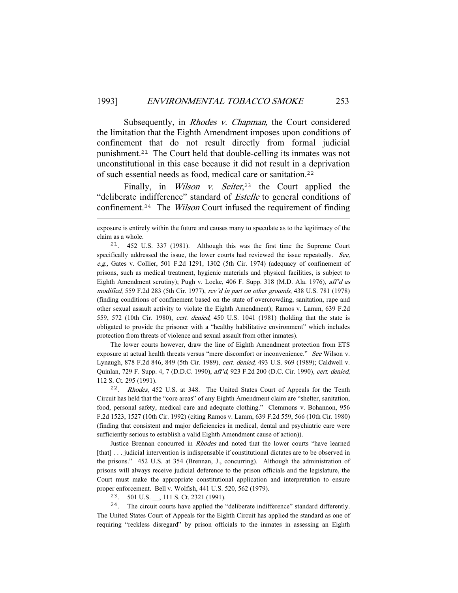Subsequently, in *Rhodes v. Chapman*, the Court considered the limitation that the Eighth Amendment imposes upon conditions of confinement that do not result directly from formal judicial punishment.<sup>21</sup> The Court held that double-celling its inmates was not unconstitutional in this case because it did not result in a deprivation of such essential needs as food, medical care or sanitation.<sup>22</sup>

Finally, in *Wilson v. Seiter*<sup>23</sup> the Court applied the "deliberate indifference" standard of *Estelle* to general conditions of confinement.<sup>24</sup> The Wilson Court infused the requirement of finding

 The lower courts however, draw the line of Eighth Amendment protection from ETS exposure at actual health threats versus "mere discomfort or inconvenience." See Wilson v. Lynaugh, 878 F.2d 846, 849 (5th Cir. 1989), cert. denied, 493 U.S. 969 (1989); Caldwell v. Quinlan, 729 F. Supp. 4, 7 (D.D.C. 1990), aff'd, 923 F.2d 200 (D.C. Cir. 1990), cert. denied, 112 S. Ct. 295 (1991).

<sup>22</sup>. Rhodes, 452 U.S. at 348. The United States Court of Appeals for the Tenth Circuit has held that the "core areas" of any Eighth Amendment claim are "shelter, sanitation, food, personal safety, medical care and adequate clothing." Clemmons v. Bohannon, 956 F.2d 1523, 1527 (10th Cir. 1992) (citing Ramos v. Lamm, 639 F.2d 559, 566 (10th Cir. 1980) (finding that consistent and major deficiencies in medical, dental and psychiatric care were sufficiently serious to establish a valid Eighth Amendment cause of action)).

 Justice Brennan concurred in Rhodes and noted that the lower courts "have learned [that] . . . judicial intervention is indispensable if constitutional dictates are to be observed in the prisons." 452 U.S. at 354 (Brennan, J., concurring). Although the administration of prisons will always receive judicial deference to the prison officials and the legislature, the Court must make the appropriate constitutional application and interpretation to ensure proper enforcement. Bell v. Wolfish, 441 U.S. 520, 562 (1979).

<sup>23</sup>. 501 U.S. \_\_, 111 S. Ct. 2321 (1991).

<sup>24</sup>. The circuit courts have applied the "deliberate indifference" standard differently. The United States Court of Appeals for the Eighth Circuit has applied the standard as one of requiring "reckless disregard" by prison officials to the inmates in assessing an Eighth

exposure is entirely within the future and causes many to speculate as to the legitimacy of the claim as a whole.

<sup>21</sup>. 452 U.S. 337 (1981). Although this was the first time the Supreme Court specifically addressed the issue, the lower courts had reviewed the issue repeatedly. See, e.g., Gates v. Collier, 501 F.2d 1291, 1302 (5th Cir. 1974) (adequacy of confinement of prisons, such as medical treatment, hygienic materials and physical facilities, is subject to Eighth Amendment scrutiny); Pugh v. Locke, 406 F. Supp. 318 (M.D. Ala. 1976), aff'd as modified, 559 F.2d 283 (5th Cir. 1977), rev'd in part on other grounds, 438 U.S. 781 (1978) (finding conditions of confinement based on the state of overcrowding, sanitation, rape and other sexual assault activity to violate the Eighth Amendment); Ramos v. Lamm, 639 F.2d 559, 572 (10th Cir. 1980), cert. denied, 450 U.S. 1041 (1981) (holding that the state is obligated to provide the prisoner with a "healthy habilitative environment" which includes protection from threats of violence and sexual assault from other inmates).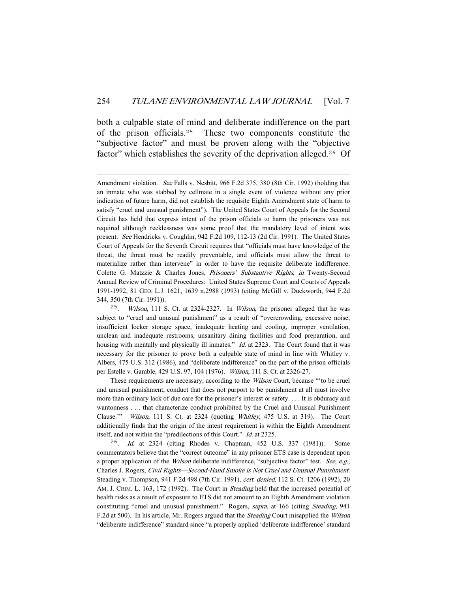both a culpable state of mind and deliberate indifference on the part of the prison officials.<sup>25</sup> These two components constitute the "subjective factor" and must be proven along with the "objective factor" which establishes the severity of the deprivation alleged.<sup>26</sup> Of

 These requirements are necessary, according to the Wilson Court, because "'to be cruel and unusual punishment, conduct that does not purport to be punishment at all must involve more than ordinary lack of due care for the prisoner's interest or safety. . . . It is obduracy and wantonness . . . that characterize conduct prohibited by the Cruel and Unusual Punishment Clause.'" Wilson, 111 S. Ct. at 2324 (quoting Whitley, 475 U.S. at 319). The Court additionally finds that the origin of the intent requirement is within the Eighth Amendment itself, and not within the "predilections of this Court." Id. at 2325.

<sup>26</sup>. Id. at 2324 (citing Rhodes v. Chapman, 452 U.S. 337 (1981)). Some commentators believe that the "correct outcome" in any prisoner ETS case is dependent upon a proper application of the *Wilson* deliberate indifference, "subjective factor" test. See, e.g., Charles J. Rogers, Civil Rights—Second-Hand Smoke is Not Cruel and Unusual Punishment: Steading v. Thompson, 941 F.2d 498 (7th Cir. 1991), cert. denied, 112 S. Ct. 1206 (1992), 20 AM. J. CRIM. L. 163, 172 (1992). The Court in *Steading* held that the increased potential of health risks as a result of exposure to ETS did not amount to an Eighth Amendment violation constituting "cruel and unusual punishment." Rogers, supra, at 166 (citing Steading, 941 F.2d at 500). In his article, Mr. Rogers argued that the *Steading* Court misapplied the Wilson "deliberate indifference" standard since "a properly applied 'deliberate indifference' standard

Amendment violation. See Falls v. Nesbitt, 966 F.2d 375, 380 (8th Cir. 1992) (holding that an inmate who was stabbed by cellmate in a single event of violence without any prior indication of future harm, did not establish the requisite Eighth Amendment state of harm to satisfy "cruel and unusual punishment"). The United States Court of Appeals for the Second Circuit has held that express intent of the prison officials to harm the prisoners was not required although recklessness was some proof that the mandatory level of intent was present. See Hendricks v. Coughlin, 942 F.2d 109, 112-13 (2d Cir. 1991). The United States Court of Appeals for the Seventh Circuit requires that "officials must have knowledge of the threat, the threat must be readily preventable, and officials must allow the threat to materialize rather than intervene" in order to have the requisite deliberate indifference. Colette G. Matzzie & Charles Jones, Prisoners' Substantive Rights, in Twenty-Second Annual Review of Criminal Procedures: United States Supreme Court and Courts of Appeals 1991-1992, 81 GEO. L.J. 1621, 1639 n.2988 (1993) (citing McGill v. Duckworth, 944 F.2d 344, 350 (7th Cir. 1991)).

<sup>&</sup>lt;sup>25</sup>. *Wilson*, 111 S. Ct. at 2324-2327. In *Wilson*, the prisoner alleged that he was subject to "cruel and unusual punishment" as a result of "overcrowding, excessive noise, insufficient locker storage space, inadequate heating and cooling, improper ventilation, unclean and inadequate restrooms, unsanitary dining facilities and food preparation, and housing with mentally and physically ill inmates." *Id.* at 2323. The Court found that it was necessary for the prisoner to prove both a culpable state of mind in line with Whitley v. Albers, 475 U.S. 312 (1986), and "deliberate indifference" on the part of the prison officials per Estelle v. Gamble, 429 U.S. 97, 104 (1976). Wilson, 111 S. Ct. at 2326-27.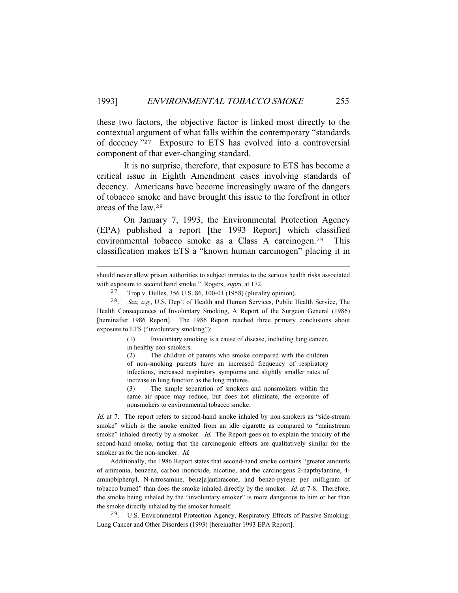these two factors, the objective factor is linked most directly to the contextual argument of what falls within the contemporary "standards of decency."<sup>27</sup> Exposure to ETS has evolved into a controversial component of that ever-changing standard.

 It is no surprise, therefore, that exposure to ETS has become a critical issue in Eighth Amendment cases involving standards of decency. Americans have become increasingly aware of the dangers of tobacco smoke and have brought this issue to the forefront in other areas of the law.<sup>28</sup>

 On January 7, 1993, the Environmental Protection Agency (EPA) published a report [the 1993 Report] which classified environmental tobacco smoke as a Class A carcinogen.<sup>29</sup> This classification makes ETS a "known human carcinogen" placing it in

(1) Involuntary smoking is a cause of disease, including lung cancer, in healthy non-smokers.

(2) The children of parents who smoke compared with the children of non-smoking parents have an increased frequency of respiratory infections, increased respiratory symptoms and slightly smaller rates of increase in lung function as the lung matures.

(3) The simple separation of smokers and nonsmokers within the same air space may reduce, but does not eliminate, the exposure of nonsmokers to environmental tobacco smoke.

Id. at 7. The report refers to second-hand smoke inhaled by non-smokers as "side-stream smoke" which is the smoke emitted from an idle cigarette as compared to "mainstream smoke" inhaled directly by a smoker. *Id.* The Report goes on to explain the toxicity of the second-hand smoke, noting that the carcinogenic effects are qualitatively similar for the smoker as for the non-smoker. Id.

 Additionally, the 1986 Report states that second-hand smoke contains "greater amounts of ammonia, benzene, carbon monoxide, nicotine, and the carcinogens 2-napthylamine, 4 aminobiphenyl, N-nitrosamine, benz[a]anthracene, and benzo-pyrene per milligram of tobacco burned" than does the smoke inhaled directly by the smoker. *Id.* at 7-8. Therefore, the smoke being inhaled by the "involuntary smoker" is more dangerous to him or her than the smoke directly inhaled by the smoker himself.

<sup>29</sup>. U.S. Environmental Protection Agency, Respiratory Effects of Passive Smoking: Lung Cancer and Other Disorders (1993) [hereinafter 1993 EPA Report].

should never allow prison authorities to subject inmates to the serious health risks associated with exposure to second hand smoke." Rogers, supra, at 172.

<sup>27</sup>. Trop v. Dulles, 356 U.S. 86, 100-01 (1958) (plurality opinion).

<sup>28</sup>. See, e.g., U.S. Dep't of Health and Human Services, Public Health Service, The Health Consequences of Involuntary Smoking, A Report of the Surgeon General (1986) [hereinafter 1986 Report]. The 1986 Report reached three primary conclusions about exposure to ETS ("involuntary smoking"):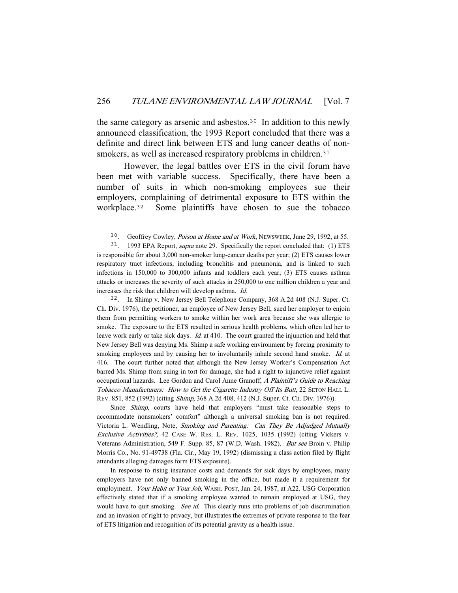the same category as arsenic and asbestos.<sup>30</sup> In addition to this newly announced classification, the 1993 Report concluded that there was a definite and direct link between ETS and lung cancer deaths of nonsmokers, as well as increased respiratory problems in children.<sup>31</sup>

 However, the legal battles over ETS in the civil forum have been met with variable success. Specifically, there have been a number of suits in which non-smoking employees sue their employers, complaining of detrimental exposure to ETS within the workplace.<sup>32</sup> Some plaintiffs have chosen to sue the tobacco

<sup>32</sup>. In Shimp v. New Jersey Bell Telephone Company, 368 A.2d 408 (N.J. Super. Ct. Ch. Div. 1976), the petitioner, an employee of New Jersey Bell, sued her employer to enjoin them from permitting workers to smoke within her work area because she was allergic to smoke. The exposure to the ETS resulted in serious health problems, which often led her to leave work early or take sick days. *Id.* at 410. The court granted the injunction and held that New Jersey Bell was denying Ms. Shimp a safe working environment by forcing proximity to smoking employees and by causing her to involuntarily inhale second hand smoke. Id. at 416. The court further noted that although the New Jersey Worker's Compensation Act barred Ms. Shimp from suing in tort for damage, she had a right to injunctive relief against occupational hazards. Lee Gordon and Carol Anne Granoff, A Plaintiff's Guide to Reaching Tobacco Manufacturers: How to Get the Cigarette Industry Off Its Butt, 22 SETON HALL L. REV. 851, 852 (1992) (citing Shimp, 368 A.2d 408, 412 (N.J. Super. Ct. Ch. Div. 1976)).

Since Shimp, courts have held that employers "must take reasonable steps to accommodate nonsmokers' comfort" although a universal smoking ban is not required. Victoria L. Wendling, Note, Smoking and Parenting: Can They Be Adjudged Mutually Exclusive Activities?, 42 CASE W. RES. L. REV. 1025, 1035 (1992) (citing Vickers v. Veterans Administration, 549 F. Supp. 85, 87 (W.D. Wash. 1982). But see Broin v. Philip Morris Co., No. 91-49738 (Fla. Cir., May 19, 1992) (dismissing a class action filed by flight attendants alleging damages form ETS exposure).

 In response to rising insurance costs and demands for sick days by employees, many employers have not only banned smoking in the office, but made it a requirement for employment. Your Habit or Your Job, WASH. POST, Jan. 24, 1987, at A22. USG Corporation effectively stated that if a smoking employee wanted to remain employed at USG, they would have to quit smoking. See id. This clearly runs into problems of job discrimination and an invasion of right to privacy, but illustrates the extremes of private response to the fear of ETS litigation and recognition of its potential gravity as a health issue.

<sup>30</sup>. Geoffrey Cowley, Poison at Home and at Work, NEWSWEEK, June 29, 1992, at 55.

<sup>&</sup>lt;sup>31</sup>. 1993 EPA Report, *supra* note 29. Specifically the report concluded that: (1) ETS is responsible for about 3,000 non-smoker lung-cancer deaths per year; (2) ETS causes lower respiratory tract infections, including bronchitis and pneumonia, and is linked to such infections in 150,000 to 300,000 infants and toddlers each year; (3) ETS causes asthma attacks or increases the severity of such attacks in 250,000 to one million children a year and increases the risk that children will develop asthma. Id.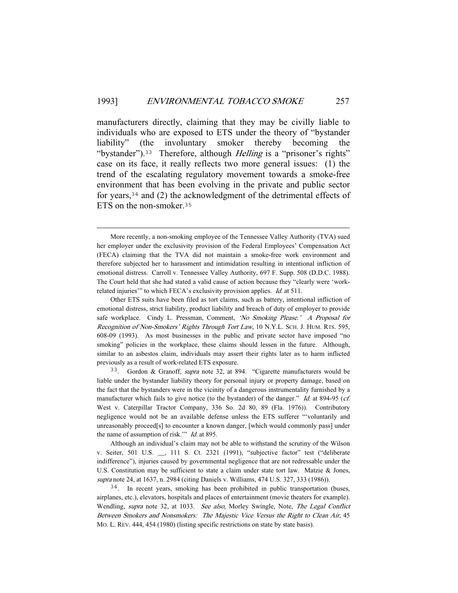manufacturers directly, claiming that they may be civilly liable to individuals who are exposed to ETS under the theory of "bystander liability" (the involuntary smoker thereby becoming the "bystander").<sup>33</sup> Therefore, although *Helling* is a "prisoner's rights" case on its face, it really reflects two more general issues: (1) the trend of the escalating regulatory movement towards a smoke-free environment that has been evolving in the private and public sector for years,<sup>34</sup> and (2) the acknowledgment of the detrimental effects of ETS on the non-smoker.<sup>35</sup>

More recently, a non-smoking employee of the Tennessee Valley Authority (TVA) sued her employer under the exclusivity provision of the Federal Employees' Compensation Act (FECA) claiming that the TVA did not maintain a smoke-free work environment and therefore subjected her to harassment and intimidation resulting in intentional infliction of emotional distress. Carroll v. Tennessee Valley Authority, 697 F. Supp. 508 (D.D.C. 1988). The Court held that she had stated a valid cause of action because they "clearly were 'workrelated injuries" to which FECA's exclusivity provision applies. *Id.* at 511.

Other ETS suits have been filed as tort claims, such as battery, intentional infliction of emotional distress, strict liability, product liability and breach of duty of employer to provide safe workplace. Cindy L. Pressman, Comment, 'No Smoking Please.' A Proposal for Recognition of Non-Smokers' Rights Through Tort Law, 10 N.Y.L. SCH. J. HUM. RTS. 595, 608-09 (1993). As most businesses in the public and private sector have imposed "no smoking" policies in the workplace, these claims should lessen in the future. Although, similar to an asbestos claim, individuals may assert their rights later as to harm inflicted previously as a result of work-related ETS exposure.

<sup>&</sup>lt;sup>33</sup>. Gordon & Granoff, *supra* note 32, at 894. "Cigarette manufacturers would be liable under the bystander liability theory for personal injury or property damage, based on the fact that the bystanders were in the vicinity of a dangerous instrumentality furnished by a manufacturer which fails to give notice (to the bystander) of the danger." Id. at 894-95 (cf. West v. Caterpillar Tractor Company, 336 So. 2d 80, 89 (Fla. 1976)). Contributory negligence would not be an available defense unless the ETS sufferer "'voluntarily and unreasonably proceed[s] to encounter a known danger, [which would commonly pass] under the name of assumption of risk." *Id.* at 895.

Although an individual's claim may not be able to withstand the scrutiny of the Wilson v. Seiter, 501 U.S. \_\_, 111 S. Ct. 2321 (1991), "subjective factor" test ("deliberate indifference"), injuries caused by governmental negligence that are not redressable under the U.S. Constitution may be sufficient to state a claim under state tort law. Matzie & Jones, supra note 24, at 1637, n. 2984 (citing Daniels v. Williams, 474 U.S. 327, 333 (1986)).

<sup>&</sup>lt;sup>34</sup>. In recent years, smoking has been prohibited in public transportation (buses, airplanes, etc.), elevators, hospitals and places of entertainment (movie theaters for example). Wendling, supra note 32, at 1033. See also, Morley Swingle, Note, The Legal Conflict Between Smokers and Nonsmokers: The Majestic Vice Versus the Right to Clean Air, 45 MO. L. REV. 444, 454 (1980) (listing specific restrictions on state by state basis).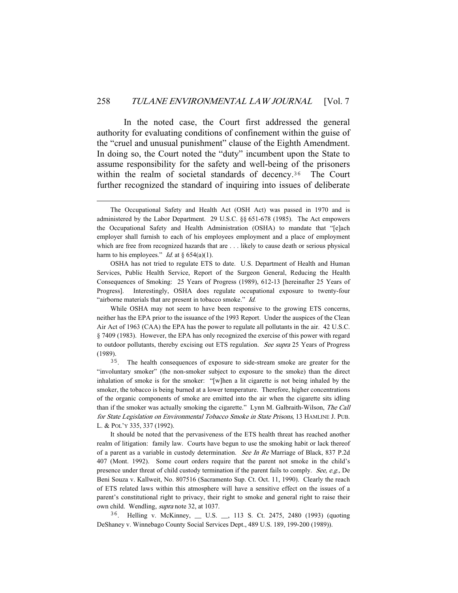In the noted case, the Court first addressed the general authority for evaluating conditions of confinement within the guise of the "cruel and unusual punishment" clause of the Eighth Amendment. In doing so, the Court noted the "duty" incumbent upon the State to assume responsibility for the safety and well-being of the prisoners within the realm of societal standards of decency.<sup>36</sup> The Court further recognized the standard of inquiring into issues of deliberate

 OSHA has not tried to regulate ETS to date. U.S. Department of Health and Human Services, Public Health Service, Report of the Surgeon General, Reducing the Health Consequences of Smoking: 25 Years of Progress (1989), 612-13 [hereinafter 25 Years of Progress]. Interestingly, OSHA does regulate occupational exposure to twenty-four "airborne materials that are present in tobacco smoke." Id.

 While OSHA may not seem to have been responsive to the growing ETS concerns, neither has the EPA prior to the issuance of the 1993 Report. Under the auspices of the Clean Air Act of 1963 (CAA) the EPA has the power to regulate all pollutants in the air. 42 U.S.C. § 7409 (1983). However, the EPA has only recognized the exercise of this power with regard to outdoor pollutants, thereby excising out ETS regulation. See supra 25 Years of Progress (1989).

<sup>35</sup>. The health consequences of exposure to side-stream smoke are greater for the "involuntary smoker" (the non-smoker subject to exposure to the smoke) than the direct inhalation of smoke is for the smoker: "[w]hen a lit cigarette is not being inhaled by the smoker, the tobacco is being burned at a lower temperature. Therefore, higher concentrations of the organic components of smoke are emitted into the air when the cigarette sits idling than if the smoker was actually smoking the cigarette." Lynn M. Galbraith-Wilson, The Call for State Legislation on Environmental Tobacco Smoke in State Prisons, 13 HAMLINE J. PUB. L. & POL'Y 335, 337 (1992).

 It should be noted that the pervasiveness of the ETS health threat has reached another realm of litigation: family law. Courts have begun to use the smoking habit or lack thereof of a parent as a variable in custody determination. See In Re Marriage of Black, 837 P.2d 407 (Mont. 1992). Some court orders require that the parent not smoke in the child's presence under threat of child custody termination if the parent fails to comply. See, e.g., De Beni Souza v. Kallweit, No. 807516 (Sacramento Sup. Ct. Oct. 11, 1990). Clearly the reach of ETS related laws within this atmosphere will have a sensitive effect on the issues of a parent's constitutional right to privacy, their right to smoke and general right to raise their own child. Wendling, supra note 32, at 1037.

<sup>36</sup>. Helling v. McKinney, \_\_ U.S. \_\_, 113 S. Ct. 2475, 2480 (1993) (quoting DeShaney v. Winnebago County Social Services Dept., 489 U.S. 189, 199-200 (1989)).

The Occupational Safety and Health Act (OSH Act) was passed in 1970 and is administered by the Labor Department. 29 U.S.C. §§ 651-678 (1985). The Act empowers the Occupational Safety and Health Administration (OSHA) to mandate that "[e]ach employer shall furnish to each of his employees employment and a place of employment which are free from recognized hazards that are . . . likely to cause death or serious physical harm to his employees." *Id.* at  $\S 654(a)(1)$ .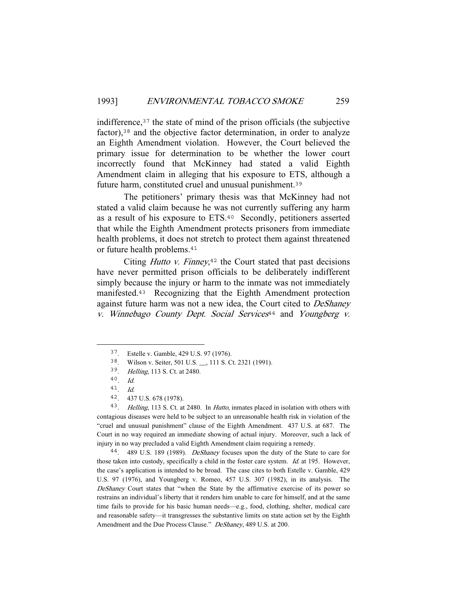indifference,<sup>37</sup> the state of mind of the prison officials (the subjective factor),<sup>38</sup> and the objective factor determination, in order to analyze an Eighth Amendment violation. However, the Court believed the primary issue for determination to be whether the lower court incorrectly found that McKinney had stated a valid Eighth Amendment claim in alleging that his exposure to ETS, although a future harm, constituted cruel and unusual punishment.<sup>39</sup>

 The petitioners' primary thesis was that McKinney had not stated a valid claim because he was not currently suffering any harm as a result of his exposure to ETS.<sup>40</sup> Secondly, petitioners asserted that while the Eighth Amendment protects prisoners from immediate health problems, it does not stretch to protect them against threatened or future health problems.<sup>41</sup>

Citing *Hutto v. Finney*, $42$  the Court stated that past decisions have never permitted prison officials to be deliberately indifferent simply because the injury or harm to the inmate was not immediately manifested.<sup>43</sup> Recognizing that the Eighth Amendment protection against future harm was not a new idea, the Court cited to DeShaney  $v.$  Winnebago County Dept. Social Services<sup>44</sup> and Youngberg  $v.$ 

<sup>43</sup>. Helling, 113 S. Ct. at 2480. In Hutto, inmates placed in isolation with others with contagious diseases were held to be subject to an unreasonable health risk in violation of the "cruel and unusual punishment" clause of the Eighth Amendment. 437 U.S. at 687. The Court in no way required an immediate showing of actual injury. Moreover, such a lack of injury in no way precluded a valid Eighth Amendment claim requiring a remedy.

<sup>44</sup>. 489 U.S. 189 (1989). DeShaney focuses upon the duty of the State to care for those taken into custody, specifically a child in the foster care system. Id. at 195. However, the case's application is intended to be broad. The case cites to both Estelle v. Gamble, 429 U.S. 97 (1976), and Youngberg v. Romeo, 457 U.S. 307 (1982), in its analysis. The DeShaney Court states that "when the State by the affirmative exercise of its power so restrains an individual's liberty that it renders him unable to care for himself, and at the same time fails to provide for his basic human needs—e.g., food, clothing, shelter, medical care and reasonable safety—it transgresses the substantive limits on state action set by the Eighth Amendment and the Due Process Clause." DeShaney, 489 U.S. at 200.

<sup>37</sup>. Estelle v. Gamble, 429 U.S. 97 (1976).

<sup>38</sup>. Wilson v. Seiter, 501 U.S. \_\_, 111 S. Ct. 2321 (1991).

<sup>39</sup>. Helling, 113 S. Ct. at 2480.

<sup>40</sup>. Id.

<sup>41</sup>. Id.

<sup>42</sup>. 437 U.S. 678 (1978).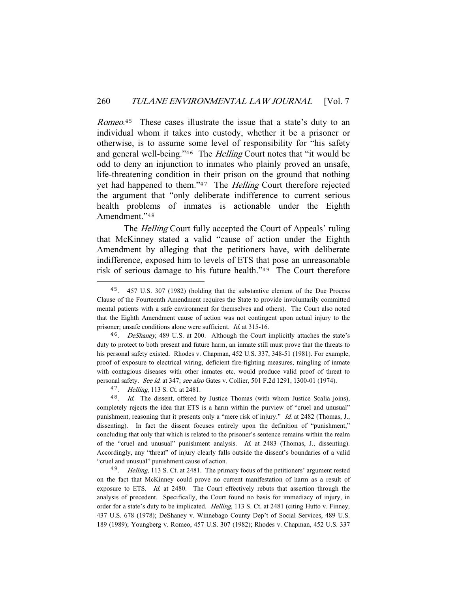Romeo.<sup>45</sup> These cases illustrate the issue that a state's duty to an individual whom it takes into custody, whether it be a prisoner or otherwise, is to assume some level of responsibility for "his safety and general well-being."<sup>46</sup> The *Helling* Court notes that "it would be odd to deny an injunction to inmates who plainly proved an unsafe, life-threatening condition in their prison on the ground that nothing yet had happened to them."<sup>47</sup> The *Helling* Court therefore rejected the argument that "only deliberate indifference to current serious health problems of inmates is actionable under the Eighth Amendment."48

The *Helling* Court fully accepted the Court of Appeals' ruling that McKinney stated a valid "cause of action under the Eighth Amendment by alleging that the petitioners have, with deliberate indifference, exposed him to levels of ETS that pose an unreasonable risk of serious damage to his future health."<sup>49</sup> The Court therefore

<sup>47</sup>. Helling, 113 S. Ct. at 2481.

<sup>45</sup>. 457 U.S. 307 (1982) (holding that the substantive element of the Due Process Clause of the Fourteenth Amendment requires the State to provide involuntarily committed mental patients with a safe environment for themselves and others). The Court also noted that the Eighth Amendment cause of action was not contingent upon actual injury to the prisoner; unsafe conditions alone were sufficient. Id. at 315-16.

<sup>&</sup>lt;sup>46</sup>. DeShaney, 489 U.S. at 200. Although the Court implicitly attaches the state's duty to protect to both present and future harm, an inmate still must prove that the threats to his personal safety existed. Rhodes v. Chapman, 452 U.S. 337, 348-51 (1981). For example, proof of exposure to electrical wiring, deficient fire-fighting measures, mingling of inmate with contagious diseases with other inmates etc. would produce valid proof of threat to personal safety. See id. at 347; see also Gates v. Collier, 501 F.2d 1291, 1300-01 (1974).

<sup>48</sup>. Id. The dissent, offered by Justice Thomas (with whom Justice Scalia joins), completely rejects the idea that ETS is a harm within the purview of "cruel and unusual" punishment, reasoning that it presents only a "mere risk of injury." Id. at 2482 (Thomas, J., dissenting). In fact the dissent focuses entirely upon the definition of "punishment," concluding that only that which is related to the prisoner's sentence remains within the realm of the "cruel and unusual" punishment analysis. Id. at 2483 (Thomas, J., dissenting). Accordingly, any "threat" of injury clearly falls outside the dissent's boundaries of a valid "cruel and unusual" punishment cause of action.

<sup>&</sup>lt;sup>49</sup>. *Helling*, 113 S. Ct. at 2481. The primary focus of the petitioners' argument rested on the fact that McKinney could prove no current manifestation of harm as a result of exposure to ETS. Id. at 2480. The Court effectively rebuts that assertion through the analysis of precedent. Specifically, the Court found no basis for immediacy of injury, in order for a state's duty to be implicated. Helling, 113 S. Ct. at 2481 (citing Hutto v. Finney, 437 U.S. 678 (1978); DeShaney v. Winnebago County Dep't of Social Services, 489 U.S. 189 (1989); Youngberg v. Romeo, 457 U.S. 307 (1982); Rhodes v. Chapman, 452 U.S. 337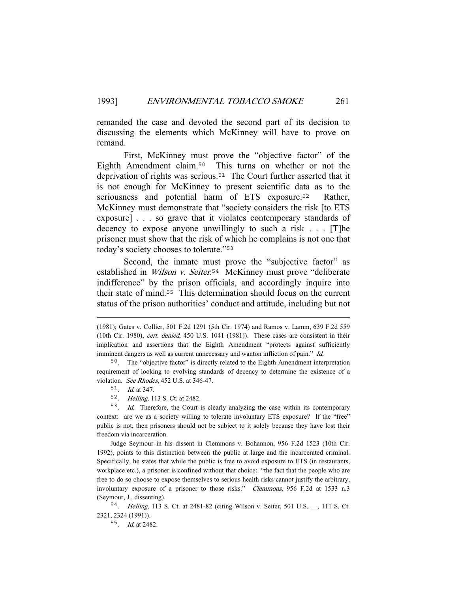remanded the case and devoted the second part of its decision to discussing the elements which McKinney will have to prove on remand.

 First, McKinney must prove the "objective factor" of the Eighth Amendment claim.<sup>50</sup> This turns on whether or not the deprivation of rights was serious.<sup>51</sup> The Court further asserted that it is not enough for McKinney to present scientific data as to the seriousness and potential harm of ETS exposure.<sup>52</sup> Rather, McKinney must demonstrate that "society considers the risk [to ETS exposure] . . . so grave that it violates contemporary standards of decency to expose anyone unwillingly to such a risk . . . [T]he prisoner must show that the risk of which he complains is not one that today's society chooses to tolerate."<sup>53</sup>

Second, the inmate must prove the "subjective factor" as established in *Wilson v. Seiter*.<sup>54</sup> McKinney must prove "deliberate indifference" by the prison officials, and accordingly inquire into their state of mind.<sup>55</sup> This determination should focus on the current status of the prison authorities' conduct and attitude, including but not

<sup>54</sup>. Helling, 113 S. Ct. at 2481-82 (citing Wilson v. Seiter, 501 U.S. \_\_, 111 S. Ct. 2321, 2324 (1991)).

<sup>55</sup>. Id. at 2482.

<sup>(1981);</sup> Gates v. Collier, 501 F.2d 1291 (5th Cir. 1974) and Ramos v. Lamm, 639 F.2d 559 (10th Cir. 1980), cert. denied, 450 U.S. 1041 (1981)). These cases are consistent in their implication and assertions that the Eighth Amendment "protects against sufficiently imminent dangers as well as current unnecessary and wanton infliction of pain." Id.

<sup>50</sup>. The "objective factor" is directly related to the Eighth Amendment interpretation requirement of looking to evolving standards of decency to determine the existence of a violation. See Rhodes, 452 U.S. at 346-47.

<sup>51</sup>. Id. at 347.

<sup>52</sup>. Helling, 113 S. Ct. at 2482.

<sup>53</sup>. Id. Therefore, the Court is clearly analyzing the case within its contemporary context: are we as a society willing to tolerate involuntary ETS exposure? If the "free" public is not, then prisoners should not be subject to it solely because they have lost their freedom via incarceration.

Judge Seymour in his dissent in Clemmons v. Bohannon, 956 F.2d 1523 (10th Cir. 1992), points to this distinction between the public at large and the incarcerated criminal. Specifically, he states that while the public is free to avoid exposure to ETS (in restaurants, workplace etc.), a prisoner is confined without that choice: "the fact that the people who are free to do so choose to expose themselves to serious health risks cannot justify the arbitrary, involuntary exposure of a prisoner to those risks." *Clemmons*, 956 F.2d at 1533 n.3 (Seymour, J., dissenting).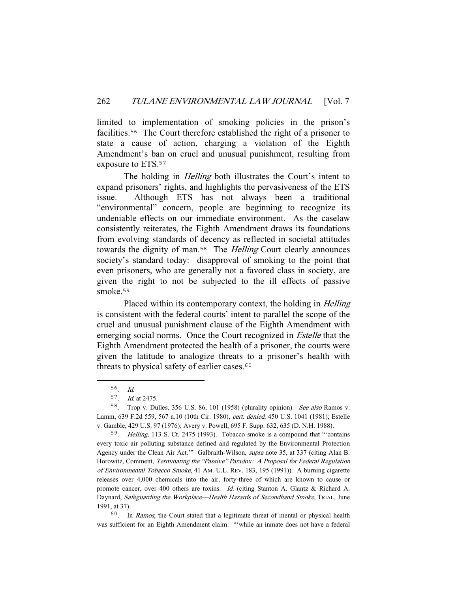limited to implementation of smoking policies in the prison's facilities.<sup>56</sup> The Court therefore established the right of a prisoner to state a cause of action, charging a violation of the Eighth Amendment's ban on cruel and unusual punishment, resulting from exposure to ETS.<sup>57</sup>

The holding in *Helling* both illustrates the Court's intent to expand prisoners' rights, and highlights the pervasiveness of the ETS issue. Although ETS has not always been a traditional "environmental" concern, people are beginning to recognize its undeniable effects on our immediate environment. As the caselaw consistently reiterates, the Eighth Amendment draws its foundations from evolving standards of decency as reflected in societal attitudes towards the dignity of man.<sup>58</sup> The *Helling* Court clearly announces society's standard today: disapproval of smoking to the point that even prisoners, who are generally not a favored class in society, are given the right to not be subjected to the ill effects of passive smoke.<sup>59</sup>

Placed within its contemporary context, the holding in *Helling* is consistent with the federal courts' intent to parallel the scope of the cruel and unusual punishment clause of the Eighth Amendment with emerging social norms. Once the Court recognized in *Estelle* that the Eighth Amendment protected the health of a prisoner, the courts were given the latitude to analogize threats to a prisoner's health with threats to physical safety of earlier cases.<sup>60</sup>

<sup>60</sup>. In Ramos, the Court stated that a legitimate threat of mental or physical health was sufficient for an Eighth Amendment claim: "'while an inmate does not have a federal

<sup>56</sup>. Id.

<sup>57</sup>. Id. at 2475.

<sup>58</sup>. Trop v. Dulles, 356 U.S. 86, 101 (1958) (plurality opinion). See also Ramos v. Lamm, 639 F.2d 559, 567 n.10 (10th Cir. 1980), cert. denied, 450 U.S. 1041 (1981); Estelle v. Gamble, 429 U.S. 97 (1976); Avery v. Powell, 695 F. Supp. 632, 635 (D. N.H. 1988).

<sup>59</sup>. Helling, 113 S. Ct. 2475 (1993). Tobacco smoke is a compound that "'contains every toxic air polluting substance defined and regulated by the Environmental Protection Agency under the Clean Air Act.'" Galbraith-Wilson, supra note 35, at 337 (citing Alan B. Horowitz, Comment, Terminating the "Passive" Paradox: A Proposal for Federal Regulation of Environmental Tobacco Smoke, 41 AM. U.L. REV. 183, 195 (1991)). A burning cigarette releases over 4,000 chemicals into the air, forty-three of which are known to cause or promote cancer, over 400 others are toxins. Id. (citing Stanton A. Glantz & Richard A. Daynard, Safeguarding the Workplace—Health Hazards of Secondhand Smoke, TRIAL, June 1991, at 37).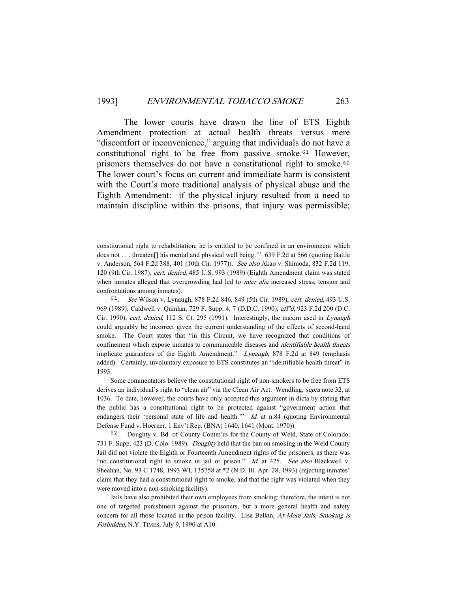The lower courts have drawn the line of ETS Eighth Amendment protection at actual health threats versus mere "discomfort or inconvenience," arguing that individuals do not have a constitutional right to be free from passive smoke.<sup>61</sup> However, prisoners themselves do not have a constitutional right to smoke.<sup>62</sup> The lower court's focus on current and immediate harm is consistent with the Court's more traditional analysis of physical abuse and the Eighth Amendment: if the physical injury resulted from a need to maintain discipline within the prisons, that injury was permissible;

 Some commentators believe the constitutional right of non-smokers to be free from ETS derives an individual's right to "clean air" via the Clean Air Act. Wendling, *supra* note 32, at 1036. To date, however, the courts have only accepted this argument in dicta by stating that the public has a constitutional right to be protected against "government action that endangers their 'personal state of life and health.'" Id. at n.84 (quoting Environmental Defense Fund v. Hoerner, 1 Env't Rep. (BNA) 1640, 1641 (Mont. 1970)).

constitutional right to rehabilitation, he is entitled to be confined in an environment which does not . . . threaten[] his mental and physical well being.'" 639 F.2d at 566 (quoting Battle v. Anderson, 564 F.2d 388, 401 (10th Cir. 1977)). See also Akao v. Shimoda, 832 F.2d 119, 120 (9th Cir. 1987), cert. denied, 485 U.S. 993 (1989) (Eighth Amendment claim was stated when inmates alleged that overcrowding had led to *inter alia* increased stress, tension and confrontations among inmates).

<sup>61</sup>. See Wilson v. Lynaugh, 878 F.2d 846, 849 (5th Cir. 1989), cert. denied, 493 U.S. 969 (1989); Caldwell v. Quinlan, 729 F. Supp. 4, 7 (D.D.C. 1990), aff'd, 923 F.2d 200 (D.C. Cir. 1990), cert. denied, 112 S. Ct. 295 (1991). Interestingly, the maxim used in Lynaugh could arguably be incorrect given the current understanding of the effects of second-hand smoke. The Court states that "in this Circuit, we have recognized that conditions of confinement which expose inmates to communicable diseases and *identifiable health threats* implicate guarantees of the Eighth Amendment." Lynaugh, 878 F.2d at 849 (emphasis added). Certainly, involuntary exposure to ETS constitutes an "identifiable health threat" in 1993.

<sup>62</sup>. Doughty v. Bd. of County Comm'rs for the County of Weld, State of Colorado, 731 F. Supp. 423 (D. Colo. 1989). Doughty held that the ban on smoking in the Weld County Jail did not violate the Eighth or Fourteenth Amendment rights of the prisoners, as there was "no constitutional right to smoke in jail or prison." Id. at 425. See also Blackwell v. Sheahan, No. 93 C 1748, 1993 WL 135758 at \*2 (N.D. Ill. Apr. 28, 1993) (rejecting inmates' claim that they had a constitutional right to smoke, and that the right was violated when they were moved into a non-smoking facility).

Jails have also prohibited their own employees from smoking; therefore, the intent is not one of targeted punishment against the prisoners, but a more general health and safety concern for all those located in the prison facility. Lisa Belkin, At More Jails, Smoking is Forbidden, N.Y. TIMES, July 9, 1990 at A10.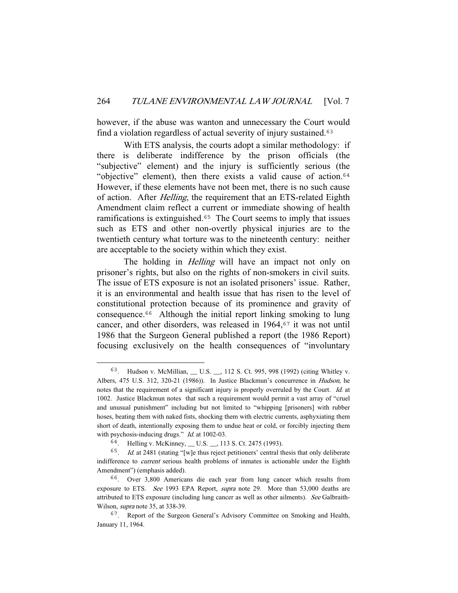however, if the abuse was wanton and unnecessary the Court would find a violation regardless of actual severity of injury sustained.<sup>63</sup>

 With ETS analysis, the courts adopt a similar methodology: if there is deliberate indifference by the prison officials (the "subjective" element) and the injury is sufficiently serious (the "objective" element), then there exists a valid cause of action.<sup>64</sup> However, if these elements have not been met, there is no such cause of action. After *Helling*, the requirement that an ETS-related Eighth Amendment claim reflect a current or immediate showing of health ramifications is extinguished.<sup>65</sup> The Court seems to imply that issues such as ETS and other non-overtly physical injuries are to the twentieth century what torture was to the nineteenth century: neither are acceptable to the society within which they exist.

The holding in *Helling* will have an impact not only on prisoner's rights, but also on the rights of non-smokers in civil suits. The issue of ETS exposure is not an isolated prisoners' issue. Rather, it is an environmental and health issue that has risen to the level of constitutional protection because of its prominence and gravity of consequence.<sup>66</sup> Although the initial report linking smoking to lung cancer, and other disorders, was released in  $1964$ ,  $67$  it was not until 1986 that the Surgeon General published a report (the 1986 Report) focusing exclusively on the health consequences of "involuntary

<sup>63</sup>. Hudson v. McMillian, \_\_ U.S. \_\_, 112 S. Ct. 995, 998 (1992) (citing Whitley v. Albers, 475 U.S. 312, 320-21 (1986)). In Justice Blackmun's concurrence in Hudson, he notes that the requirement of a significant injury is properly overruled by the Court. Id. at 1002. Justice Blackmun notes that such a requirement would permit a vast array of "cruel and unusual punishment" including but not limited to "whipping [prisoners] with rubber hoses, beating them with naked fists, shocking them with electric currents, asphyxiating them short of death, intentionally exposing them to undue heat or cold, or forcibly injecting them with psychosis-inducing drugs." *Id.* at 1002-03.

<sup>64</sup>. Helling v. McKinney, \_\_ U.S. \_\_, 113 S. Ct. 2475 (1993).

 $65.$  Id. at 2481 (stating "[w]e thus reject petitioners' central thesis that only deliberate indifference to current serious health problems of inmates is actionable under the Eighth Amendment") (emphasis added).

<sup>66</sup>. Over 3,800 Americans die each year from lung cancer which results from exposure to ETS. See 1993 EPA Report, supra note 29. More than 53,000 deaths are attributed to ETS exposure (including lung cancer as well as other ailments). See Galbraith-Wilson, *supra* note 35, at 338-39.

<sup>67</sup>. Report of the Surgeon General's Advisory Committee on Smoking and Health, January 11, 1964.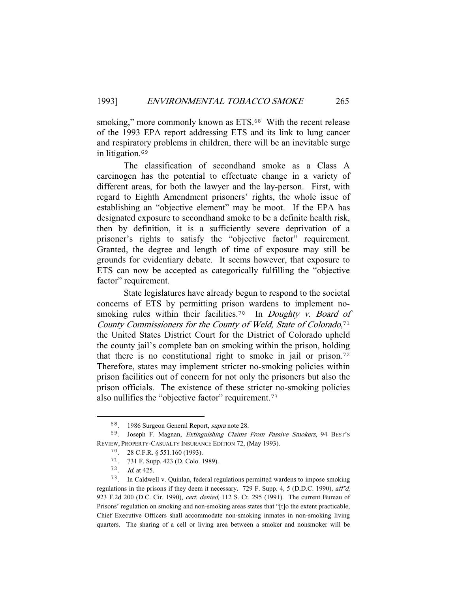smoking," more commonly known as ETS.<sup>68</sup> With the recent release of the 1993 EPA report addressing ETS and its link to lung cancer and respiratory problems in children, there will be an inevitable surge in litigation.<sup>69</sup>

 The classification of secondhand smoke as a Class A carcinogen has the potential to effectuate change in a variety of different areas, for both the lawyer and the lay-person. First, with regard to Eighth Amendment prisoners' rights, the whole issue of establishing an "objective element" may be moot. If the EPA has designated exposure to secondhand smoke to be a definite health risk, then by definition, it is a sufficiently severe deprivation of a prisoner's rights to satisfy the "objective factor" requirement. Granted, the degree and length of time of exposure may still be grounds for evidentiary debate. It seems however, that exposure to ETS can now be accepted as categorically fulfilling the "objective factor" requirement.

 State legislatures have already begun to respond to the societal concerns of ETS by permitting prison wardens to implement nosmoking rules within their facilities.<sup>70</sup> In *Doughty v. Board of* County Commissioners for the County of Weld, State of Colorado,<sup>71</sup> the United States District Court for the District of Colorado upheld the county jail's complete ban on smoking within the prison, holding that there is no constitutional right to smoke in jail or prison.<sup>72</sup> Therefore, states may implement stricter no-smoking policies within prison facilities out of concern for not only the prisoners but also the prison officials. The existence of these stricter no-smoking policies also nullifies the "objective factor" requirement.<sup>73</sup>

<sup>68</sup>. 1986 Surgeon General Report, supra note 28.

<sup>69</sup>. Joseph F. Magnan, Extinguishing Claims From Passive Smokers, 94 BEST'S REVIEW, PROPERTY-CASUALTY INSURANCE EDITION 72, (May 1993).

<sup>70</sup>. 28 C.F.R. § 551.160 (1993).

<sup>71</sup>. 731 F. Supp. 423 (D. Colo. 1989).

<sup>72</sup>. Id. at 425.

<sup>73</sup>. In Caldwell v. Quinlan, federal regulations permitted wardens to impose smoking regulations in the prisons if they deem it necessary. 729 F. Supp. 4, 5 (D.D.C. 1990), aff'd, 923 F.2d 200 (D.C. Cir. 1990), cert. denied, 112 S. Ct. 295 (1991). The current Bureau of Prisons' regulation on smoking and non-smoking areas states that "[t]o the extent practicable, Chief Executive Officers shall accommodate non-smoking inmates in non-smoking living quarters. The sharing of a cell or living area between a smoker and nonsmoker will be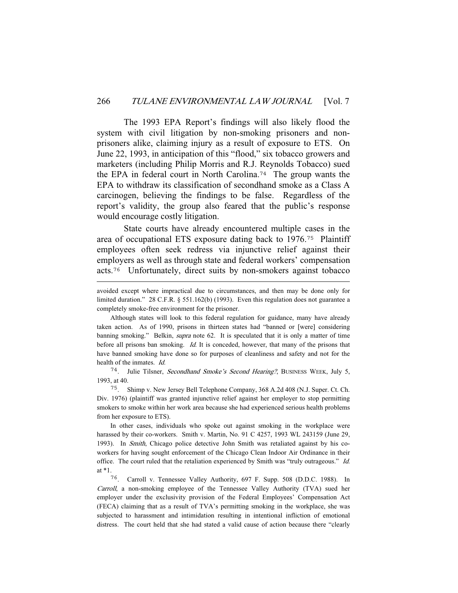The 1993 EPA Report's findings will also likely flood the system with civil litigation by non-smoking prisoners and nonprisoners alike, claiming injury as a result of exposure to ETS. On June 22, 1993, in anticipation of this "flood," six tobacco growers and marketers (including Philip Morris and R.J. Reynolds Tobacco) sued the EPA in federal court in North Carolina.<sup>74</sup> The group wants the EPA to withdraw its classification of secondhand smoke as a Class A carcinogen, believing the findings to be false. Regardless of the report's validity, the group also feared that the public's response would encourage costly litigation.

 State courts have already encountered multiple cases in the area of occupational ETS exposure dating back to 1976.<sup>75</sup> Plaintiff employees often seek redress via injunctive relief against their employers as well as through state and federal workers' compensation acts.<sup>76</sup> Unfortunately, direct suits by non-smokers against tobacco

<sup>74</sup>. Julie Tilsner, Secondhand Smoke's Second Hearing?, BUSINESS WEEK, July 5, 1993, at 40.

<sup>75</sup>. Shimp v. New Jersey Bell Telephone Company, 368 A.2d 408 (N.J. Super. Ct. Ch. Div. 1976) (plaintiff was granted injunctive relief against her employer to stop permitting smokers to smoke within her work area because she had experienced serious health problems from her exposure to ETS).

 In other cases, individuals who spoke out against smoking in the workplace were harassed by their co-workers. Smith v. Martin, No. 91 C 4257, 1993 WL 243159 (June 29, 1993). In Smith, Chicago police detective John Smith was retaliated against by his coworkers for having sought enforcement of the Chicago Clean Indoor Air Ordinance in their office. The court ruled that the retaliation experienced by Smith was "truly outrageous." Id. at \*1.

<sup>76</sup>. Carroll v. Tennessee Valley Authority, 697 F. Supp. 508 (D.D.C. 1988). In Carroll, a non-smoking employee of the Tennessee Valley Authority (TVA) sued her employer under the exclusivity provision of the Federal Employees' Compensation Act (FECA) claiming that as a result of TVA's permitting smoking in the workplace, she was subjected to harassment and intimidation resulting in intentional infliction of emotional distress. The court held that she had stated a valid cause of action because there "clearly

avoided except where impractical due to circumstances, and then may be done only for limited duration." 28 C.F.R. § 551.162(b) (1993). Even this regulation does not guarantee a completely smoke-free environment for the prisoner.

Although states will look to this federal regulation for guidance, many have already taken action. As of 1990, prisons in thirteen states had "banned or [were] considering banning smoking." Belkin, *supra* note 62. It is speculated that it is only a matter of time before all prisons ban smoking. Id. It is conceded, however, that many of the prisons that have banned smoking have done so for purposes of cleanliness and safety and not for the health of the inmates. Id.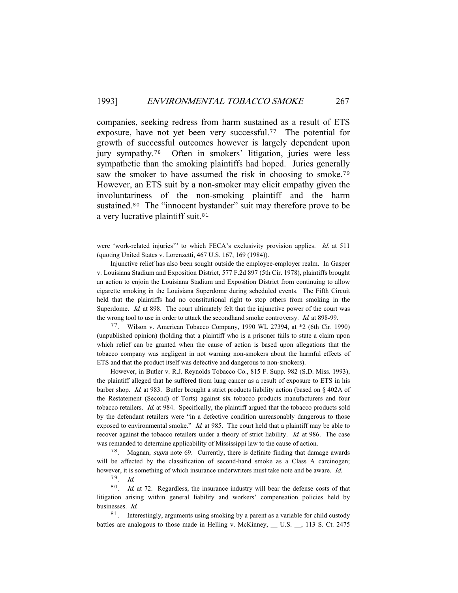companies, seeking redress from harm sustained as a result of ETS exposure, have not yet been very successful.<sup>77</sup> The potential for growth of successful outcomes however is largely dependent upon jury sympathy.<sup>78</sup> Often in smokers' litigation, juries were less sympathetic than the smoking plaintiffs had hoped. Juries generally saw the smoker to have assumed the risk in choosing to smoke.<sup>79</sup> However, an ETS suit by a non-smoker may elicit empathy given the involuntariness of the non-smoking plaintiff and the harm sustained.<sup>80</sup> The "innocent bystander" suit may therefore prove to be a very lucrative plaintiff suit.<sup>81</sup>

<sup>77</sup>. Wilson v. American Tobacco Company, 1990 WL 27394, at \*2 (6th Cir. 1990) (unpublished opinion) (holding that a plaintiff who is a prisoner fails to state a claim upon which relief can be granted when the cause of action is based upon allegations that the tobacco company was negligent in not warning non-smokers about the harmful effects of ETS and that the product itself was defective and dangerous to non-smokers).

 However, in Butler v. R.J. Reynolds Tobacco Co., 815 F. Supp. 982 (S.D. Miss. 1993), the plaintiff alleged that he suffered from lung cancer as a result of exposure to ETS in his barber shop. Id. at 983. Butler brought a strict products liability action (based on § 402A of the Restatement (Second) of Torts) against six tobacco products manufacturers and four tobacco retailers. Id. at 984. Specifically, the plaintiff argued that the tobacco products sold by the defendant retailers were "in a defective condition unreasonably dangerous to those exposed to environmental smoke." Id. at 985. The court held that a plaintiff may be able to recover against the tobacco retailers under a theory of strict liability. Id. at 986. The case was remanded to determine applicability of Mississippi law to the cause of action.

<sup>78</sup>. Magnan, supra note 69. Currently, there is definite finding that damage awards will be affected by the classification of second-hand smoke as a Class A carcinogen; however, it is something of which insurance underwriters must take note and be aware. Id.

<sup>79</sup>. Id.

<sup>80</sup>. Id. at 72. Regardless, the insurance industry will bear the defense costs of that litigation arising within general liability and workers' compensation policies held by businesses. Id.

<sup>81</sup>. Interestingly, arguments using smoking by a parent as a variable for child custody battles are analogous to those made in Helling v. McKinney, \_\_ U.S. \_\_, 113 S. Ct. 2475

were 'work-related injuries'" to which FECA's exclusivity provision applies. Id. at 511 (quoting United States v. Lorenzetti, 467 U.S. 167, 169 (1984)).

Injunctive relief has also been sought outside the employee-employer realm. In Gasper v. Louisiana Stadium and Exposition District, 577 F.2d 897 (5th Cir. 1978), plaintiffs brought an action to enjoin the Louisiana Stadium and Exposition District from continuing to allow cigarette smoking in the Louisiana Superdome during scheduled events. The Fifth Circuit held that the plaintiffs had no constitutional right to stop others from smoking in the Superdome. Id. at 898. The court ultimately felt that the injunctive power of the court was the wrong tool to use in order to attack the secondhand smoke controversy. Id. at 898-99.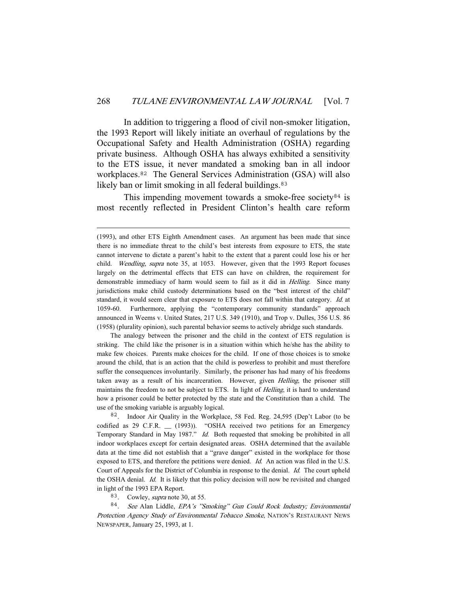In addition to triggering a flood of civil non-smoker litigation, the 1993 Report will likely initiate an overhaul of regulations by the Occupational Safety and Health Administration (OSHA) regarding private business. Although OSHA has always exhibited a sensitivity to the ETS issue, it never mandated a smoking ban in all indoor workplaces.<sup>82</sup> The General Services Administration (GSA) will also likely ban or limit smoking in all federal buildings.<sup>83</sup>

This impending movement towards a smoke-free society $84$  is most recently reflected in President Clinton's health care reform

 The analogy between the prisoner and the child in the context of ETS regulation is striking. The child like the prisoner is in a situation within which he/she has the ability to make few choices. Parents make choices for the child. If one of those choices is to smoke around the child, that is an action that the child is powerless to prohibit and must therefore suffer the consequences involuntarily. Similarly, the prisoner has had many of his freedoms taken away as a result of his incarceration. However, given Helling, the prisoner still maintains the freedom to not be subject to ETS. In light of *Helling*, it is hard to understand how a prisoner could be better protected by the state and the Constitution than a child. The use of the smoking variable is arguably logical.

<sup>82</sup>. Indoor Air Quality in the Workplace, 58 Fed. Reg. 24,595 (Dep't Labor (to be codified as 29 C.F.R. \_\_ (1993)). "OSHA received two petitions for an Emergency Temporary Standard in May 1987." Id. Both requested that smoking be prohibited in all indoor workplaces except for certain designated areas. OSHA determined that the available data at the time did not establish that a "grave danger" existed in the workplace for those exposed to ETS, and therefore the petitions were denied. Id. An action was filed in the U.S. Court of Appeals for the District of Columbia in response to the denial. Id. The court upheld the OSHA denial. Id. It is likely that this policy decision will now be revisited and changed in light of the 1993 EPA Report.

<sup>83</sup>. Cowley, supra note 30, at 55.

<sup>84</sup>. See Alan Liddle, EPA's "Smoking" Gun Could Rock Industry; Environmental Protection Agency Study of Environmental Tobacco Smoke, NATION'S RESTAURANT NEWS NEWSPAPER, January 25, 1993, at 1.

<sup>(1993),</sup> and other ETS Eighth Amendment cases. An argument has been made that since there is no immediate threat to the child's best interests from exposure to ETS, the state cannot intervene to dictate a parent's habit to the extent that a parent could lose his or her child. Wendling, supra note 35, at 1053. However, given that the 1993 Report focuses largely on the detrimental effects that ETS can have on children, the requirement for demonstrable immediacy of harm would seem to fail as it did in Helling. Since many jurisdictions make child custody determinations based on the "best interest of the child" standard, it would seem clear that exposure to ETS does not fall within that category. Id. at 1059-60. Furthermore, applying the "contemporary community standards" approach announced in Weems v. United States, 217 U.S. 349 (1910), and Trop v. Dulles, 356 U.S. 86 (1958) (plurality opinion), such parental behavior seems to actively abridge such standards.